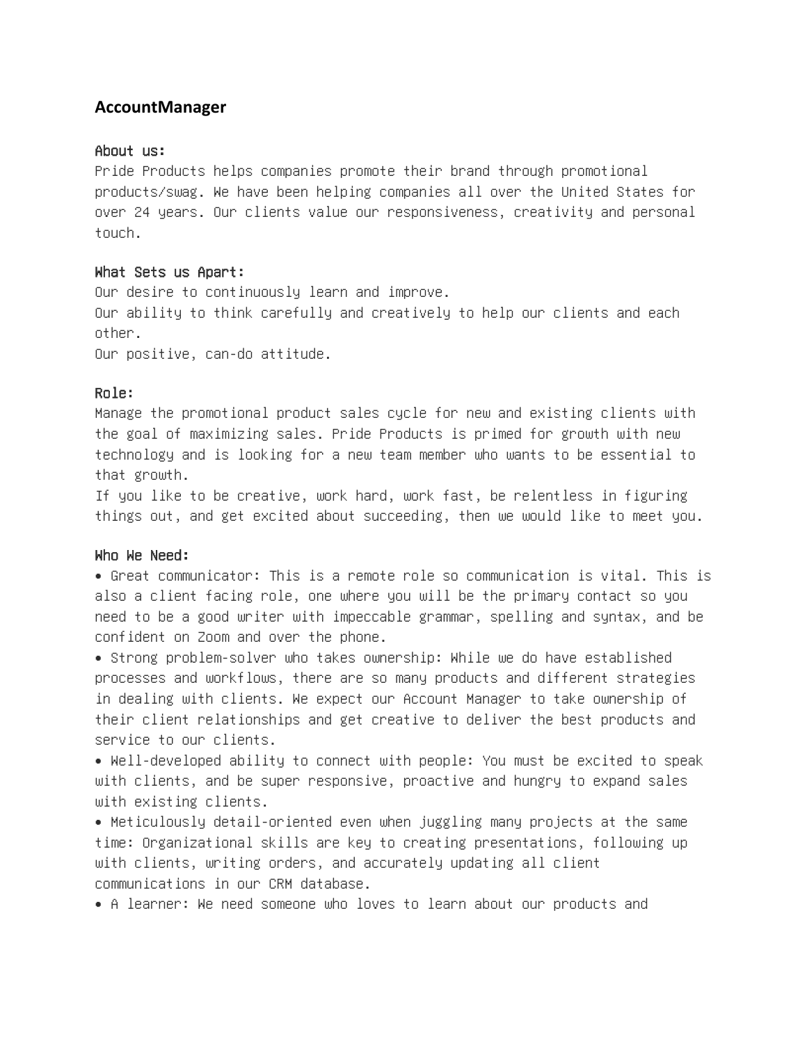# **AccountManager**

### About us:

Pride Products helps companies promote their brand through promotional products/swag. We have been helping companies all over the United States for over 24 years. Our clients value our responsiveness, creativity and personal touch.

### What Sets us Apart:

Our desire to continuously learn and improve. Our ability to think carefully and creatively to help our clients and each other.

Our positive, can-do attitude.

## Role:

Manage the promotional product sales cycle for new and existing clients with the goal of maximizing sales. Pride Products is primed for growth with new technology and is looking for a new team member who wants to be essential to that growth.

If you like to be creative, work hard, work fast, be relentless in figuring things out, and get excited about succeeding, then we would like to meet you.

### Who We Need:

• Great communicator: This is a remote role so communication is vital. This is also a client facing role, one where you will be the primary contact so you need to be a good writer with impeccable grammar, spelling and syntax, and be confident on Zoom and over the phone.

• Strong problem-solver who takes ownership: While we do have established processes and workflows, there are so many products and different strategies in dealing with clients. We expect our Account Manager to take ownership of their client relationships and get creative to deliver the best products and service to our clients.

• Well-developed ability to connect with people: You must be excited to speak with clients, and be super responsive, proactive and hungry to expand sales with existing clients.

• Meticulously detail-oriented even when juggling many projects at the same time: Organizational skills are key to creating presentations, following up with clients, writing orders, and accurately updating all client communications in our CRM database.

• A learner: We need someone who loves to learn about our products and